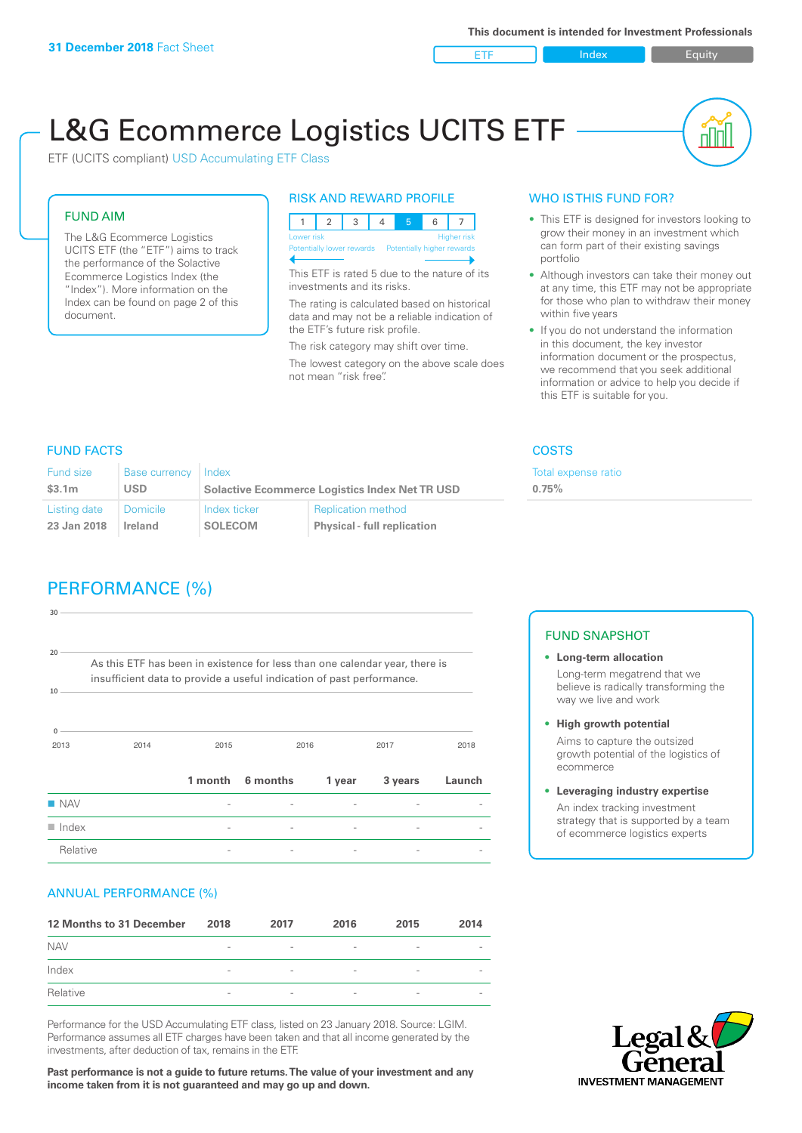ETF Index Buity

u ju

# L&G Ecommerce Logistics UCITS ETF

ETF (UCITS compliant) USD Accumulating ETF Class

### FUND AIM

The L&G Ecommerce Logistics UCITS ETF (the "ETF") aims to track the performance of the Solactive Ecommerce Logistics Index (the "Index"). More information on the Index can be found on page 2 of this document.

### RISK AND REWARD PROFILE

| Lower risk<br><b>Higher risk</b> |  |  |  |                                                      |  |  |  |  |
|----------------------------------|--|--|--|------------------------------------------------------|--|--|--|--|
|                                  |  |  |  | Potentially lower rewards Potentially higher rewards |  |  |  |  |
|                                  |  |  |  |                                                      |  |  |  |  |

This ETF is rated 5 due to the nature of its investments and its risks.

The rating is calculated based on historical data and may not be a reliable indication of the ETF's future risk profile.

The risk category may shift over time. The lowest category on the above scale does not mean "risk free".

### WHO IS THIS FUND FOR?

- This ETF is designed for investors looking to grow their money in an investment which can form part of their existing savings portfolio
- Although investors can take their money out at any time, this ETF may not be appropriate for those who plan to withdraw their money within five years
- If you do not understand the information in this document, the key investor information document or the prospectus, we recommend that you seek additional information or advice to help you decide if this ETF is suitable for you.

**0.75%**

Total expense ratio

### FUND FACTS COSTS

| Fund size    | <b>Base currency</b> | Index                                                 |                                    |  |
|--------------|----------------------|-------------------------------------------------------|------------------------------------|--|
| \$3.1m       | <b>USD</b>           | <b>Solactive Ecommerce Logistics Index Net TR USD</b> |                                    |  |
| Listing date | <b>Domicile</b>      | Index ticker                                          | <b>Replication method</b>          |  |
| 23 Jan 2018  | Ireland              | <b>SOLECOM</b>                                        | <b>Physical - full replication</b> |  |

## PERFORMANCE (%)

| 30                   |                                                                                                                                                      |                |          |                          |         |        |
|----------------------|------------------------------------------------------------------------------------------------------------------------------------------------------|----------------|----------|--------------------------|---------|--------|
| 20<br>10             | As this ETF has been in existence for less than one calendar year, there is<br>insufficient data to provide a useful indication of past performance. |                |          |                          |         |        |
| $\Omega$<br>2013     | 2014                                                                                                                                                 | 2015           |          | 2016                     | 2017    | 2018   |
|                      |                                                                                                                                                      | 1 month        | 6 months | 1 year                   | 3 years | Launch |
| $\blacksquare$ NAV   |                                                                                                                                                      |                |          |                          |         |        |
| $\blacksquare$ Index |                                                                                                                                                      | $\overline{a}$ |          | $\overline{\phantom{0}}$ |         |        |
| Relative             |                                                                                                                                                      |                |          |                          |         |        |

### ANNUAL PERFORMANCE (%)

| 12 Months to 31 December | 2018                     | 2017                     | 2016            | 2015                     | 2014 |
|--------------------------|--------------------------|--------------------------|-----------------|--------------------------|------|
| <b>NAV</b>               | $\overline{\phantom{a}}$ | $\overline{\phantom{a}}$ | $\qquad \qquad$ | $\overline{\phantom{a}}$ |      |
| Index                    | $\overline{\phantom{a}}$ | $\sim$                   | $\qquad \qquad$ | $\overline{\phantom{a}}$ |      |
| Relative                 | $\sim$                   | $\overline{\phantom{a}}$ |                 | $\qquad \qquad$          |      |

Performance for the USD Accumulating ETF class, listed on 23 January 2018. Source: LGIM. Performance assumes all ETF charges have been taken and that all income generated by the investments, after deduction of tax, remains in the ETF.

**Past performance is not a guide to future returns. The value of your investment and any income taken from it is not guaranteed and may go up and down.**

### FUND SNAPSHOT

- **• Long-term allocation** Long-term megatrend that we believe is radically transforming the way we live and work
- **• High growth potential**

Aims to capture the outsized growth potential of the logistics of ecommerce

### **• Leveraging industry expertise**

An index tracking investment strategy that is supported by a team of ecommerce logistics experts

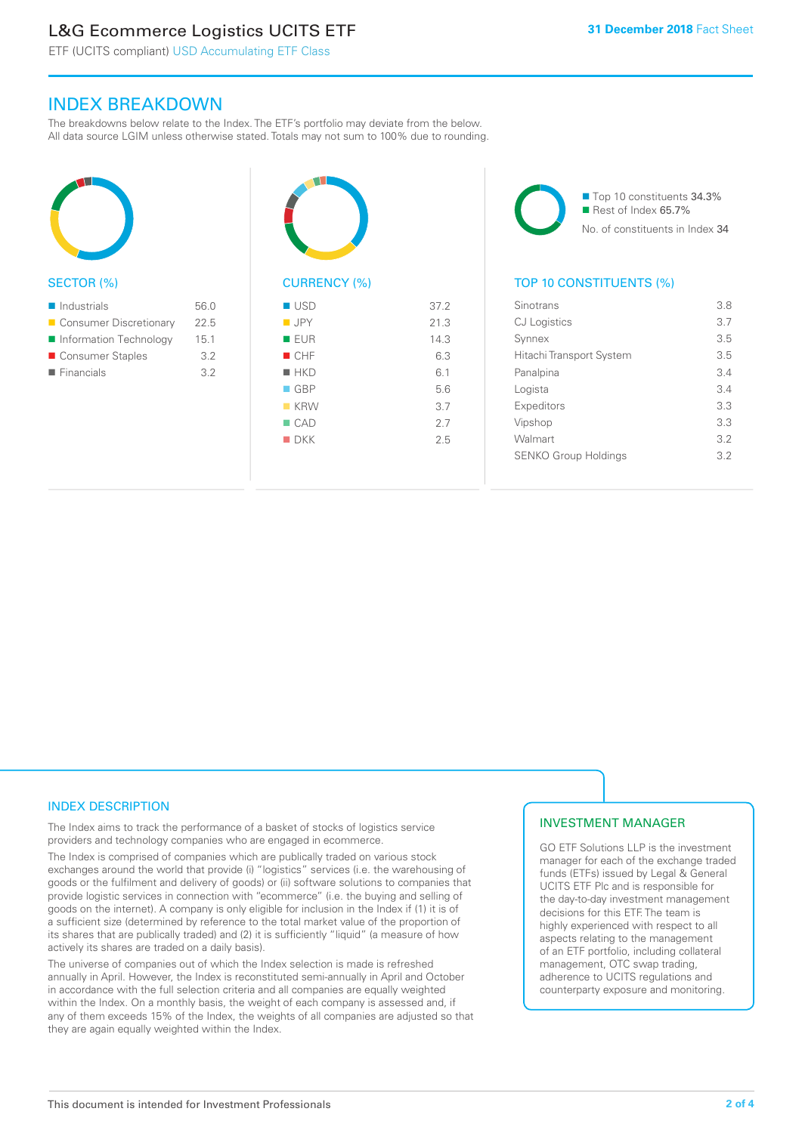# L&G Ecommerce Logistics UCITS ETF

ETF (UCITS compliant) USD Accumulating ETF Class

### INDEX BREAKDOWN

The breakdowns below relate to the Index. The ETF's portfolio may deviate from the below. All data source LGIM unless otherwise stated. Totals may not sum to 100% due to rounding.



### SECTOR (%)

| $\blacksquare$ Industrials | 56.0 |
|----------------------------|------|
| Consumer Discretionary     | 225  |
| Information Technology     | 15.1 |
| ■ Consumer Staples         | 3.2  |
| $\blacksquare$ Financials  | 3.2  |
|                            |      |



# CURRENCY (%)

| $\blacksquare$ USD | 37.2 |
|--------------------|------|
| $\blacksquare$ JPY | 21.3 |
| ■ EUR              | 14.3 |
| CHF                | 6.3  |
| $H$ HKD            | 6.1  |
| $\Box$ GBP         | 5.6  |
| $K$ KRW            | 3.7  |
| $\Box$ CAD         | 2.7  |
| $\blacksquare$ DKK | 2.5  |
|                    |      |



### TOP 10 CONSTITUENTS (%)

| Sinotrans                   | 3.8 |
|-----------------------------|-----|
| <b>CJ</b> Logistics         | 3.7 |
| Synnex                      | 3.5 |
| Hitachi Transport System    | 3.5 |
| Panalpina                   | 34  |
| Logista                     | 3.4 |
| Expeditors                  | 3.3 |
| Vipshop                     | 3.3 |
| Walmart                     | 3.2 |
| <b>SENKO Group Holdings</b> | 3.2 |
|                             |     |

### INDEX DESCRIPTION

The Index aims to track the performance of a basket of stocks of logistics service providers and technology companies who are engaged in ecommerce.

The Index is comprised of companies which are publically traded on various stock exchanges around the world that provide (i) "logistics" services (i.e. the warehousing of goods or the fulfilment and delivery of goods) or (ii) software solutions to companies that provide logistic services in connection with "ecommerce" (i.e. the buying and selling of goods on the internet). A company is only eligible for inclusion in the Index if (1) it is of a sufficient size (determined by reference to the total market value of the proportion of its shares that are publically traded) and (2) it is sufficiently "liquid" (a measure of how actively its shares are traded on a daily basis).

The universe of companies out of which the Index selection is made is refreshed annually in April. However, the Index is reconstituted semi-annually in April and October in accordance with the full selection criteria and all companies are equally weighted within the Index. On a monthly basis, the weight of each company is assessed and, if any of them exceeds 15% of the Index, the weights of all companies are adjusted so that they are again equally weighted within the Index.

### INVESTMENT MANAGER

GO ETF Solutions LLP is the investment manager for each of the exchange traded funds (ETFs) issued by Legal & General UCITS ETF Plc and is responsible for the day-to-day investment management decisions for this ETF. The team is highly experienced with respect to all aspects relating to the management of an ETF portfolio, including collateral management, OTC swap trading, adherence to UCITS regulations and counterparty exposure and monitoring.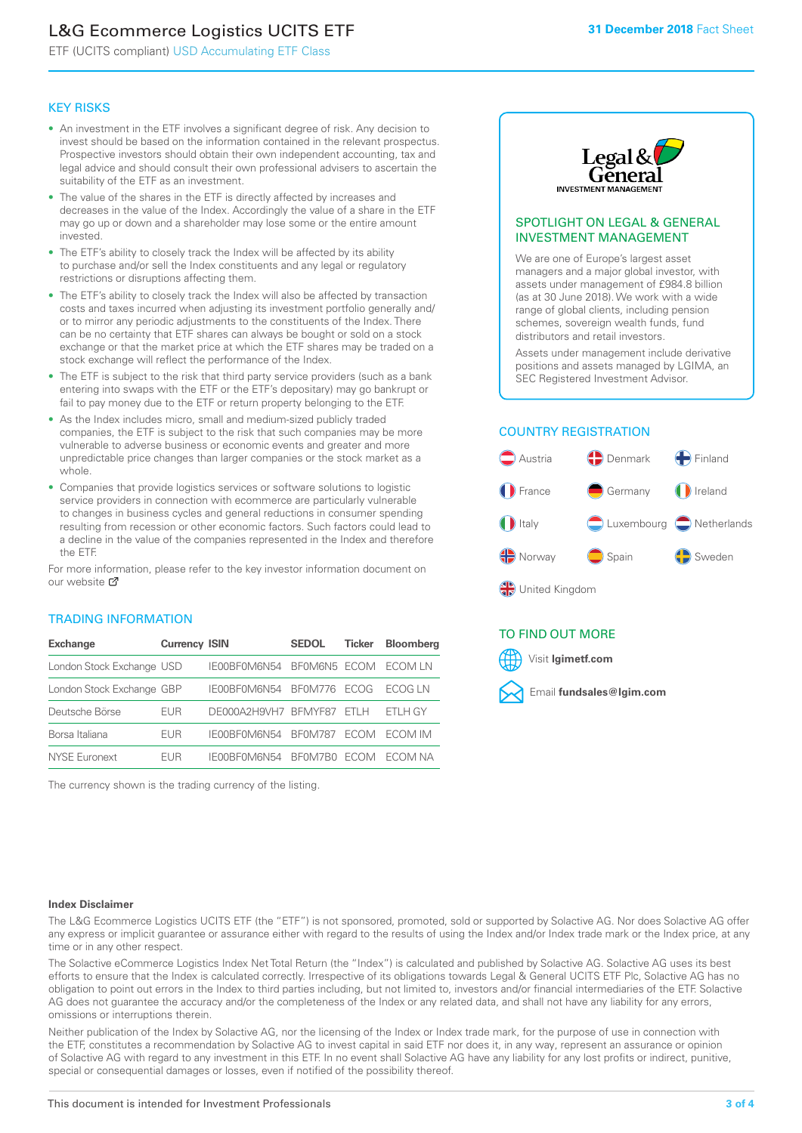# L&G Ecommerce Logistics UCITS ETF

ETF (UCITS compliant) USD Accumulating ETF Class

### KEY RISKS

- An investment in the ETF involves a significant degree of risk. Any decision to invest should be based on the information contained in the relevant prospectus. Prospective investors should obtain their own independent accounting, tax and legal advice and should consult their own professional advisers to ascertain the suitability of the ETF as an investment.
- The value of the shares in the ETF is directly affected by increases and decreases in the value of the Index. Accordingly the value of a share in the ETF may go up or down and a shareholder may lose some or the entire amount invested.
- The ETF's ability to closely track the Index will be affected by its ability to purchase and/or sell the Index constituents and any legal or regulatory restrictions or disruptions affecting them.
- The ETF's ability to closely track the Index will also be affected by transaction costs and taxes incurred when adjusting its investment portfolio generally and/ or to mirror any periodic adjustments to the constituents of the Index. There can be no certainty that ETF shares can always be bought or sold on a stock exchange or that the market price at which the ETF shares may be traded on a stock exchange will reflect the performance of the Index.
- The ETF is subject to the risk that third party service providers (such as a bank entering into swaps with the ETF or the ETF's depositary) may go bankrupt or fail to pay money due to the ETF or return property belonging to the ETF.
- As the Index includes micro, small and medium-sized publicly traded companies, the ETF is subject to the risk that such companies may be more vulnerable to adverse business or economic events and greater and more unpredictable price changes than larger companies or the stock market as a whole.
- Companies that provide logistics services or software solutions to logistic service providers in connection with ecommerce are particularly vulnerable to changes in business cycles and general reductions in consumer spending resulting from recession or other economic factors. Such factors could lead to a decline in the value of the companies represented in the Index and therefore the ETF.

For more in[form](https://www.lgimetf.com/)ation, please refer to the key investor information document on our website ぴ

### TRADING INFORMATION

| <b>Exchange</b>           | <b>Currency ISIN</b> |                      | <b>SEDOL</b>   | <b>Ticker</b> | <b>Bloomberg</b> |
|---------------------------|----------------------|----------------------|----------------|---------------|------------------|
| London Stock Exchange USD |                      | IE00BF0M6N54         | BFOM6N5 ECOM   |               | ECOM I N         |
| London Stock Exchange GBP |                      | IE00BF0M6N54         | <b>BF0M776</b> | <b>FCOG</b>   | FCOG IN          |
| Deutsche Börse            | <b>EUR</b>           | DE000A2H9VH7 BFMYF87 |                | FTI H         | ETLH GY          |
| Borsa Italiana            | <b>EUR</b>           | IE00BF0M6N54         | <b>BF0M787</b> | <b>FCOM</b>   | ECOM IM          |
| <b>NYSE Euronext</b>      | <b>FUR</b>           | IE00BF0M6N54         | BF0M7B0        | <b>FCOM</b>   | FCOM NA          |

The currency shown is the trading currency of the listing.



### SPOTLIGHT ON LEGAL & GENERAL INVESTMENT MANAGEMENT

We are one of Europe's largest asset managers and a major global investor, with assets under management of £984.8 billion (as at 30 June 2018). We work with a wide range of global clients, including pension schemes, sovereign wealth funds, fund distributors and retail investors.

Assets under management include derivative positions and assets managed by LGIMA, an SEC Registered Investment Advisor.

### COUNTRY REGISTRATION



### TO FIND OUT MORE

Visit **lgimetf.com**



### **Index Disclaimer**

The L&G Ecommerce Logistics UCITS ETF (the "ETF") is not sponsored, promoted, sold or supported by Solactive AG. Nor does Solactive AG offer any express or implicit guarantee or assurance either with regard to the results of using the Index and/or Index trade mark or the Index price, at any time or in any other respect.

The Solactive eCommerce Logistics Index Net Total Return (the "Index") is calculated and published by Solactive AG. Solactive AG uses its best efforts to ensure that the Index is calculated correctly. Irrespective of its obligations towards Legal & General UCITS ETF Plc, Solactive AG has no obligation to point out errors in the Index to third parties including, but not limited to, investors and/or financial intermediaries of the ETF. Solactive AG does not guarantee the accuracy and/or the completeness of the Index or any related data, and shall not have any liability for any errors, omissions or interruptions therein.

Neither publication of the Index by Solactive AG, nor the licensing of the Index or Index trade mark, for the purpose of use in connection with the ETF, constitutes a recommendation by Solactive AG to invest capital in said ETF nor does it, in any way, represent an assurance or opinion of Solactive AG with regard to any investment in this ETF. In no event shall Solactive AG have any liability for any lost profits or indirect, punitive, special or consequential damages or losses, even if notified of the possibility thereof.